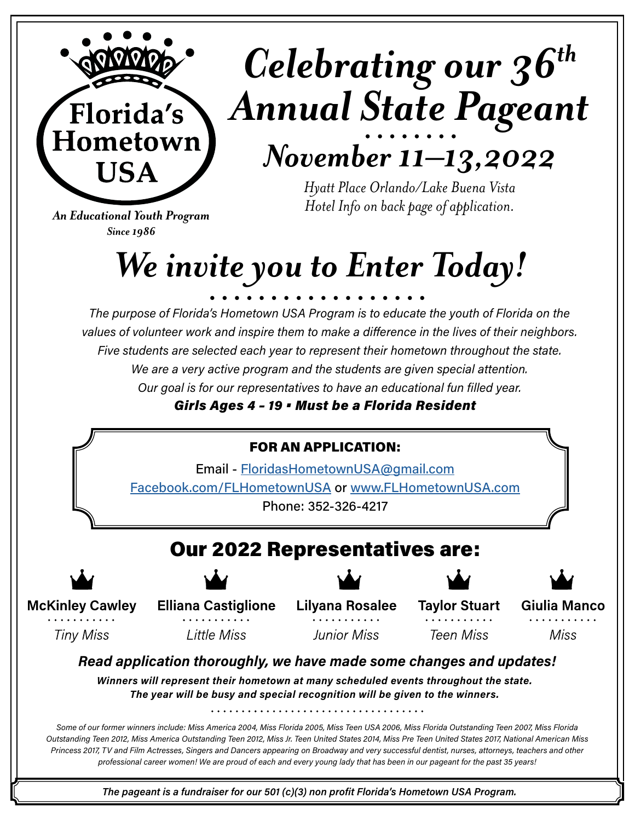

# *Celebrating our 36th Annual State Pageant*

## *November 11–13,2022*

*Hyatt Place Orlando/Lake Buena Vista Hotel Info on back page of application.*

*An Educational Youth Program Since 1986*

# *We invite you to Enter Today!*

*The purpose of Florida's Hometown USA Program is to educate the youth of Florida on the values of volunteer work and inspire them to make a difference in the lives of their neighbors. Five students are selected each year to represent their hometown throughout the state. We are a very active program and the students are given special attention. Our goal is for our representatives to have an educational fun filled year.*

*Girls Ages 4 – 19 • Must be a Florida Resident*

# Our 2022 Representatives are: FOR AN APPLICATION: Email - [FloridasHometownUSA@gmail.com](mailto:FloridasHometownUSA%40gmail.com?subject=Florida%27s%20Hometown%20USA%20Application) [Facebook.com/FLHometownUSA](http://Facebook.com/FLHometownUSA) or [www.FLHometownUSA.com](http://www.FLHometownUSA.com) Phone: 352-326-4217

**McKinley Cawley** 

**Tiny Miss** 

**Elliana Castiglione** 

**Little Miss** 

**Lilyana Rosalee Junior Miss** 

**Taylor Stuart Teen Miss** 

Giulia Manco

Miss

## *Read application thoroughly, we have made some changes and updates!*

*Winners will represent their hometown at many scheduled events throughout the state. The year will be busy and special recognition will be given to the winners.*

*Some of our former winners include: Miss America 2004, Miss Florida 2005, Miss Teen USA 2006, Miss Florida Outstanding Teen 2007, Miss Florida Outstanding Teen 2012, Miss America Outstanding Teen 2012, Miss Jr. Teen United States 2014, Miss Pre Teen United States 2017, National American Miss Princess 2017, TV and Film Actresses, Singers and Dancers appearing on Broadway and very successful dentist, nurses, attorneys, teachers and other professional career women! We are proud of each and every young lady that has been in our pageant for the past 35 years!*

*The pageant is a fundraiser for our 501 (c)(3) non profit Florida's Hometown USA Program.*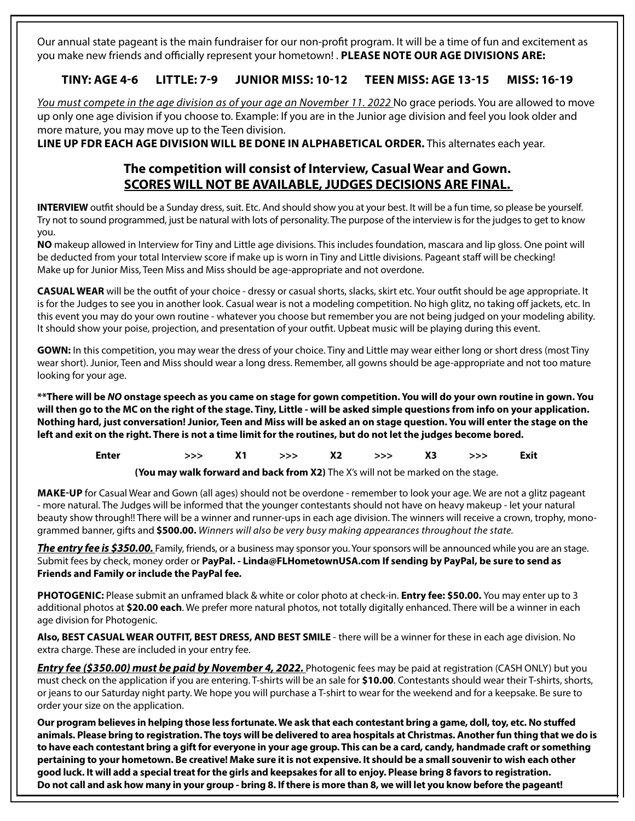Our annual state pageant is the main fundraiser for our non-profit program. It will be a time of fun and excitement as you make new friends and officially represent your hometown! . **PLEASE NOTE OUR AGE DIVISIONS ARE:**

### **TINY: AGE 4-6 LITTLE: 7-9 JUNIOR MISS: 10-12 TEEN MISS: AGE 13-15 MISS: 16-19**

You must compete in the age division as of your age an November 11. 2022 No grace periods. You are allowed to move up only one age division if you choose to. Example: If you are in the Junior age division and feel you look older and more mature, you may move up to the Teen division.

**LINE UP FDR EACH AGE DIVISION WILL BE DONE IN ALPHABETICAL ORDER.** This alternates each year.

### **The competition will consist of Interview, Casual Wear and Gown. SCORES WILL NOT BE AVAILABLE, JUDGES DECISIONS ARE FINAL.**

**INTERVIEW** outfit should be a Sunday dress, suit. Etc. And should show you at your best. It will be a fun time, so please be yourself. Try not to sound programmed, just be natural with lots of personality. The purpose of the interview is for the judges to get to know you.

**NO** makeup allowed in Interview for Tiny and Little age divisions. This includes foundation, mascara and lip gloss. One point will be deducted from your total Interview score if make up is worn in Tiny and Little divisions. Pageant staff will be checking! Make up for Junior Miss, Teen Miss and Miss should be age-appropriate and not overdone.

**CASUAL WEAR** will be the outfit of your choice - dressy or casual shorts, slacks, skirt etc. Your outfit should be age appropriate. It is for the Judges to see you in another look. Casual wear is not a modeling competition. No high glitz, no taking off jackets, etc. In this event you may do your own routine - whatever you choose but remember you are not being judged on your modeling ability. It should show your poise, projection, and presentation of your outfit. Upbeat music will be playing during this event.

**GOWN:** In this competition, you may wear the dress of your choice. Tiny and Little may wear either long or short dress (most Tiny wear short). Junior, Teen and Miss should wear a long dress. Remember, all gowns should be age-appropriate and not too mature looking for your age.

**\*\*There will be** *NO* **onstage speech as you came on stage for gown competition. You will do your own routine in gown. You will then go to the MC on the right of the stage. Tiny, Little - will be asked simple questions from info on your application. Nothing hard, just conversation! Junior, Teen and Miss will be asked an on stage question. You will enter the stage on the left and exit on the right. There is not a time limit for the routines, but do not let the judges become bored.**

| >>> X1 >>> X2 >>> X3 >>> Exit<br>Enter |  |  |
|----------------------------------------|--|--|
|----------------------------------------|--|--|

**(You may walk forward and back from X2)** The X's will not be marked on the stage.

**MAKE-UP** for Casual Wear and Gown (all ages) should not be overdone - remember to look your age. We are not a glitz pageant - more natural. The Judges will be informed that the younger contestants should not have on heavy makeup - let your natural beauty show through!! There will be a winner and runner-ups in each age division. The winners will receive a crown, trophy, monogrammed banner, gifts and **\$500.00.** *Winners will also be very busy making appearances throughout the state.* 

*The entry fee is \$350.00.* Family, friends, or a business may sponsor you. Your sponsors will be announced while you are an stage. Submit fees by check, money order or **PayPal. - Linda@FLHometownUSA.com If sending by PayPal, be sure to send as Friends and Family or include the PayPal fee.** 

**PHOTOGENIC:** Please submit an unframed black & white or color photo at check-in. **Entry fee: \$50.00.** You may enter up to 3 additional photos at **\$20.00 each**. We prefer more natural photos, not totally digitally enhanced. There will be a winner in each age division for Photogenic.

**Also, BEST CASUAL WEAR OUTFIT, BEST DRESS, AND BEST SMILE** - there will be a winner for these in each age division. No extra charge. These are included in your entry fee.

*Entry fee (\$350.00) must be paid by November 4, 2022. Photogenic fees may be paid at registration (CASH ONLY) but you* must check on the application if you are entering. T-shirts will be an sale for **\$10.00**. Contestants should wear their T-shirts, shorts, or jeans to our Saturday night party. We hope you will purchase a T-shirt to wear for the weekend and for a keepsake. Be sure to order your size on the application.

**Our program believes in helping those less fortunate. We ask that each contestant bring a game, doll, toy, etc. No stuffed animals. Please bring to registration. The toys will be delivered to area hospitals at Christmas. Another fun thing that we do is to have each contestant bring a gift for everyone in your age group. This can be a card, candy, handmade craft or something pertaining to your hometown. Be creative! Make sure it is not expensive. It should be a small souvenir to wish each other good luck. It will add a special treat for the girls and keepsakes for all to enjoy. Please bring 8 favors to registration. Do not call and ask how many in your group - bring 8. If there is more than 8, we will let you know before the pageant!**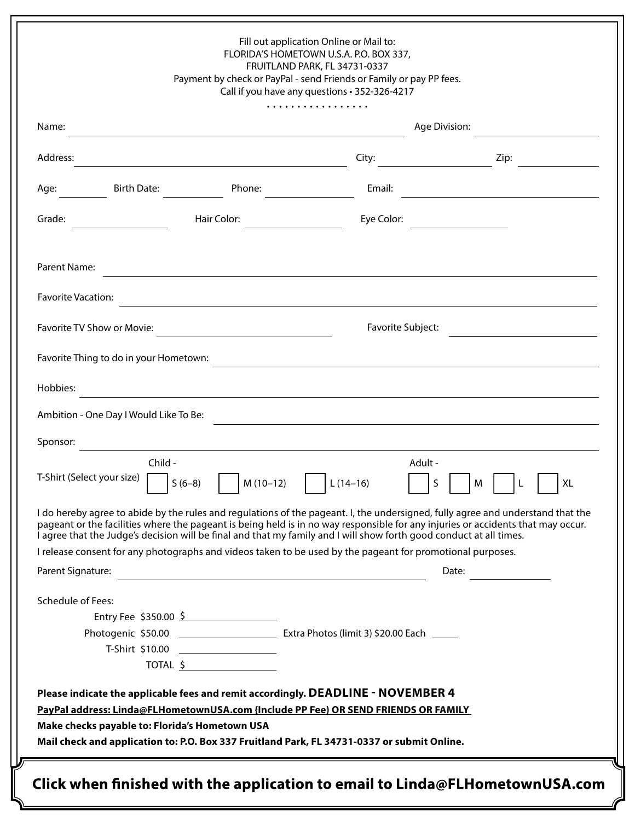| Fill out application Online or Mail to:<br>FLORIDA'S HOMETOWN U.S.A. P.O. BOX 337,<br>FRUITLAND PARK, FL 34731-0337<br>Payment by check or PayPal - send Friends or Family or pay PP fees.<br>Call if you have any questions . 352-326-4217                                                                                                                                                |                   |                                                                                  |  |  |
|--------------------------------------------------------------------------------------------------------------------------------------------------------------------------------------------------------------------------------------------------------------------------------------------------------------------------------------------------------------------------------------------|-------------------|----------------------------------------------------------------------------------|--|--|
| Name:                                                                                                                                                                                                                                                                                                                                                                                      | Age Division:     |                                                                                  |  |  |
| Address:                                                                                                                                                                                                                                                                                                                                                                                   | City:             | Zip:                                                                             |  |  |
| Birth Date:<br>Phone:<br>Age:                                                                                                                                                                                                                                                                                                                                                              | Email:            |                                                                                  |  |  |
| Hair Color:<br>Grade:                                                                                                                                                                                                                                                                                                                                                                      | Eye Color:        |                                                                                  |  |  |
| Parent Name:                                                                                                                                                                                                                                                                                                                                                                               |                   |                                                                                  |  |  |
| <b>Favorite Vacation:</b><br><u> 1989 - Johann Stoff, amerikansk politiker (d. 1989)</u>                                                                                                                                                                                                                                                                                                   |                   |                                                                                  |  |  |
| Favorite TV Show or Movie:<br><u> 1989 - Andrea State Barbara, política e a f</u>                                                                                                                                                                                                                                                                                                          | Favorite Subject: |                                                                                  |  |  |
| Favorite Thing to do in your Hometown:                                                                                                                                                                                                                                                                                                                                                     |                   |                                                                                  |  |  |
| Hobbies:<br><u> 1989 - Johann John Stone, Amerikaansk politiker († 1908)</u>                                                                                                                                                                                                                                                                                                               |                   |                                                                                  |  |  |
| Ambition - One Day I Would Like To Be:                                                                                                                                                                                                                                                                                                                                                     |                   | ,我们也不能在这里的时候,我们也不能在这里的时候,我们也不能会在这里的时候,我们也不能会在这里的时候,我们也不能会在这里的时候,我们也不能会在这里的时候,我们也 |  |  |
| Sponsor:                                                                                                                                                                                                                                                                                                                                                                                   |                   |                                                                                  |  |  |
| Child-<br>T-Shirt (Select your size)<br>$S(6-8)$<br>$\vert$ M (10-12) $\vert$ L (14-16)                                                                                                                                                                                                                                                                                                    | Adult -           | $\sf S$<br>M<br>L.<br>XL                                                         |  |  |
| I do hereby agree to abide by the rules and regulations of the pageant. I, the undersigned, fully agree and understand that the<br>pageant or the facilities where the pageant is being held is in no way responsible for any injuries or accidents that may occur.<br>I agree that the Judge's decision will be final and that my family and I will show forth good conduct at all times. |                   |                                                                                  |  |  |
| I release consent for any photographs and videos taken to be used by the pageant for promotional purposes.                                                                                                                                                                                                                                                                                 |                   |                                                                                  |  |  |
| Parent Signature:                                                                                                                                                                                                                                                                                                                                                                          |                   | Date:                                                                            |  |  |
| <b>Schedule of Fees:</b><br>Entry Fee \$350.00 $\frac{5}{2}$                                                                                                                                                                                                                                                                                                                               |                   |                                                                                  |  |  |
|                                                                                                                                                                                                                                                                                                                                                                                            |                   |                                                                                  |  |  |
| T-Shirt \$10.00 ___________________                                                                                                                                                                                                                                                                                                                                                        |                   |                                                                                  |  |  |
| TOTAL \$                                                                                                                                                                                                                                                                                                                                                                                   |                   |                                                                                  |  |  |
| Please indicate the applicable fees and remit accordingly. DEADLINE - NOVEMBER 4<br>PayPal address: Linda@FLHometownUSA.com {Include PP Fee) OR SEND FRIENDS OR FAMILY<br>Make checks payable to: Florida's Hometown USA<br>Mail check and application to: P.O. Box 337 Fruitland Park, FL 34731-0337 or submit Online.                                                                    |                   |                                                                                  |  |  |
| Click when finished with the application to email to $Linda@FLHometownUSA.com$                                                                                                                                                                                                                                                                                                             |                   |                                                                                  |  |  |